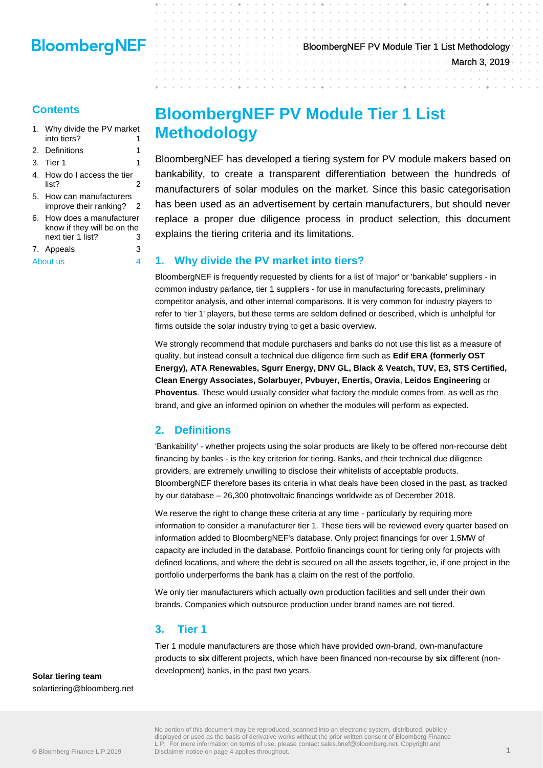### **Contents**

- 1. [Why divide the PV market](#page-0-0)  [into tiers?](#page-0-0) 1
- 2. [Definitions](#page-0-1) 1
- 3. [Tier 1](#page-0-2) 1
- 4. [How do I access the tier](#page-1-0)   $list?$  2
- 5. [How can manufacturers](#page-1-1)  [improve their ranking?](#page-1-1) 2
- 6. [How does a manufacturer](#page-2-0)  [know if they will be on the](#page-2-0)  [next tier 1 list?](#page-2-0) 3
- 7. [Appeals](#page-2-1) 3

[About us](#page-3-0) 4

# **BloombergNEF PV Module Tier 1 List**

BloombergNEF has developed a tiering system for PV module makers based on bankability, to create a transparent differentiation between the hundreds of manufacturers of solar modules on the market. Since this basic categorisation has been used as an advertisement by certain manufacturers, but should never replace a proper due diligence process in product selection, this document explains the tiering criteria and its limitations.

### <span id="page-0-0"></span>**1. Why divide the PV market into tiers?**

BloombergNEF is frequently requested by clients for a list of 'major' or 'bankable' suppliers - in common industry parlance, tier 1 suppliers - for use in manufacturing forecasts, preliminary competitor analysis, and other internal comparisons. It is very common for industry players to refer to 'tier 1' players, but these terms are seldom defined or described, which is unhelpful for firms outside the solar industry trying to get a basic overview.

We strongly recommend that module purchasers and banks do not use this list as a measure of quality, but instead consult a technical due diligence firm such as **Edif ERA (formerly OST Energy), ATA Renewables, Sgurr Energy, DNV GL, Black & Veatch, TUV, E3, STS Certified, Clean Energy Associates, Solarbuyer, Pvbuyer, Enertis, Oravia**, **Leidos Engineering** or **Phoventus**. These would usually consider what factory the module comes from, as well as the brand, and give an informed opinion on whether the modules will perform as expected.

## <span id="page-0-1"></span>**2. Definitions**

**Methodology**

'Bankability' - whether projects using the solar products are likely to be offered non-recourse debt financing by banks - is the key criterion for tiering. Banks, and their technical due diligence providers, are extremely unwilling to disclose their whitelists of acceptable products. BloombergNEF therefore bases its criteria in what deals have been closed in the past, as tracked by our database – 26,300 photovoltaic financings worldwide as of December 2018.

We reserve the right to change these criteria at any time - particularly by requiring more information to consider a manufacturer tier 1. These tiers will be reviewed every quarter based on information added to BloombergNEF's database. Only project financings for over 1.5MW of capacity are included in the database. Portfolio financings count for tiering only for projects with defined locations, and where the debt is secured on all the assets together, ie, if one project in the portfolio underperforms the bank has a claim on the rest of the portfolio.

We only tier manufacturers which actually own production facilities and sell under their own brands. Companies which outsource production under brand names are not tiered.

### <span id="page-0-2"></span>**3. Tier 1**

Tier 1 module manufacturers are those which have provided own-brand, own-manufacture products to **six** different projects, which have been financed non-recourse by **six** different (nondevelopment) banks, in the past two years.

**Solar tiering team** solartiering@bloomberg.net

## BloombergNEF PV Module Tier 1 List Methodology March 3, 2019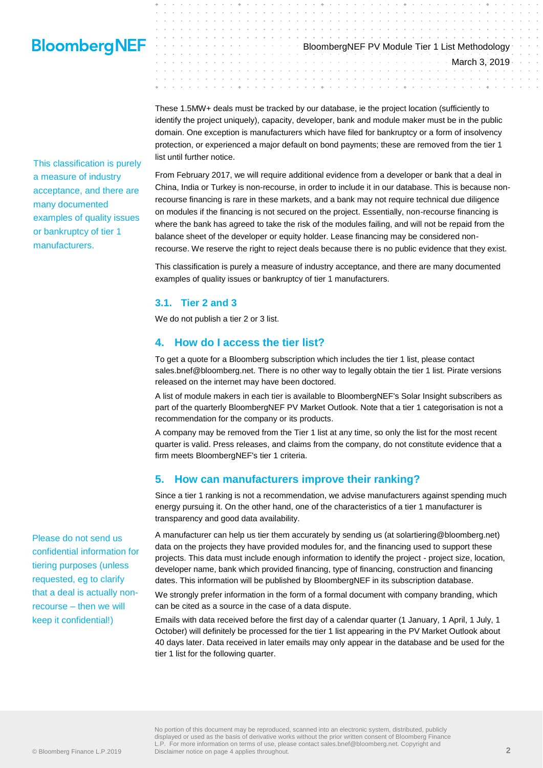This classification is purely a measure of industry acceptance, and there are many documented examples of quality issues or bankruptcy of tier 1 manufacturers.

These 1.5MW+ deals must be tracked by our database, ie the project location (sufficiently to identify the project uniquely), capacity, developer, bank and module maker must be in the public domain. One exception is manufacturers which have filed for bankruptcy or a form of insolvency protection, or experienced a major default on bond payments; these are removed from the tier 1 list until further notice.

BloombergNEF PV Module Tier 1 List Methodology

March 3, 2019

From February 2017, we will require additional evidence from a developer or bank that a deal in China, India or Turkey is non-recourse, in order to include it in our database. This is because nonrecourse financing is rare in these markets, and a bank may not require technical due diligence on modules if the financing is not secured on the project. Essentially, non-recourse financing is where the bank has agreed to take the risk of the modules failing, and will not be repaid from the balance sheet of the developer or equity holder. Lease financing may be considered nonrecourse. We reserve the right to reject deals because there is no public evidence that they exist.

This classification is purely a measure of industry acceptance, and there are many documented examples of quality issues or bankruptcy of tier 1 manufacturers.

### **3.1. Tier 2 and 3**

We do not publish a tier 2 or 3 list.

### <span id="page-1-0"></span>**4. How do I access the tier list?**

To get a quote for a Bloomberg subscription which includes the tier 1 list, please contact sales.bnef@bloomberg.net. There is no other way to legally obtain the tier 1 list. Pirate versions released on the internet may have been doctored.

A list of module makers in each tier is available to BloombergNEF's Solar Insight subscribers as part of the quarterly BloombergNEF PV Market Outlook. Note that a tier 1 categorisation is not a recommendation for the company or its products.

A company may be removed from the Tier 1 list at any time, so only the list for the most recent quarter is valid. Press releases, and claims from the company, do not constitute evidence that a firm meets BloombergNEF's tier 1 criteria.

### <span id="page-1-1"></span>**5. How can manufacturers improve their ranking?**

Since a tier 1 ranking is not a recommendation, we advise manufacturers against spending much energy pursuing it. On the other hand, one of the characteristics of a tier 1 manufacturer is transparency and good data availability.

A manufacturer can help us tier them accurately by sending us (at solartiering@bloomberg.net) data on the projects they have provided modules for, and the financing used to support these projects. This data must include enough information to identify the project - project size, location, developer name, bank which provided financing, type of financing, construction and financing dates. This information will be published by BloombergNEF in its subscription database.

We strongly prefer information in the form of a formal document with company branding, which can be cited as a source in the case of a data dispute.

Emails with data received before the first day of a calendar quarter (1 January, 1 April, 1 July, 1 October) will definitely be processed for the tier 1 list appearing in the PV Market Outlook about 40 days later. Data received in later emails may only appear in the database and be used for the tier 1 list for the following quarter.

Please do not send us confidential information for tiering purposes (unless requested, eg to clarify that a deal is actually nonrecourse – then we will keep it confidential!)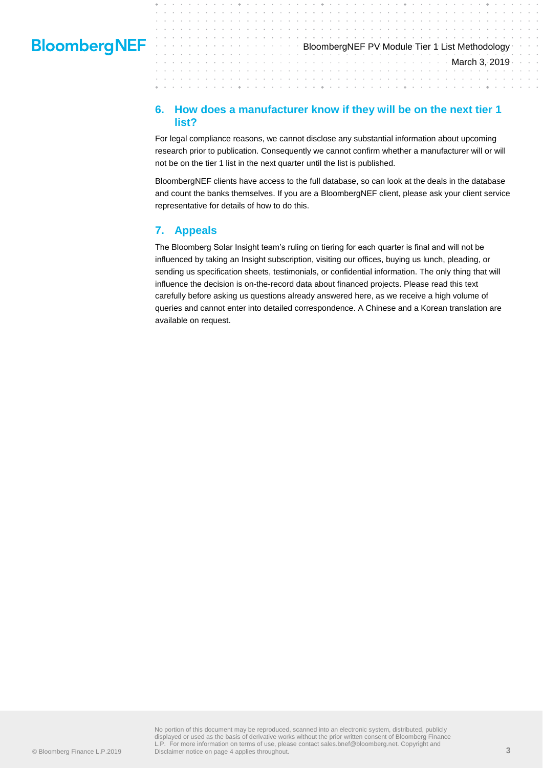# BloombergNEF PV Module Tier 1 List Methodology March 3, 2019

### <span id="page-2-0"></span>**6. How does a manufacturer know if they will be on the next tier 1 list?**

÷

÷

For legal compliance reasons, we cannot disclose any substantial information about upcoming research prior to publication. Consequently we cannot confirm whether a manufacturer will or will not be on the tier 1 list in the next quarter until the list is published.

BloombergNEF clients have access to the full database, so can look at the deals in the database and count the banks themselves. If you are a BloombergNEF client, please ask your client service representative for details of how to do this.

### <span id="page-2-1"></span>**7. Appeals**

The Bloomberg Solar Insight team's ruling on tiering for each quarter is final and will not be influenced by taking an Insight subscription, visiting our offices, buying us lunch, pleading, or sending us specification sheets, testimonials, or confidential information. The only thing that will influence the decision is on-the-record data about financed projects. Please read this text carefully before asking us questions already answered here, as we receive a high volume of queries and cannot enter into detailed correspondence. A Chinese and a Korean translation are available on request.